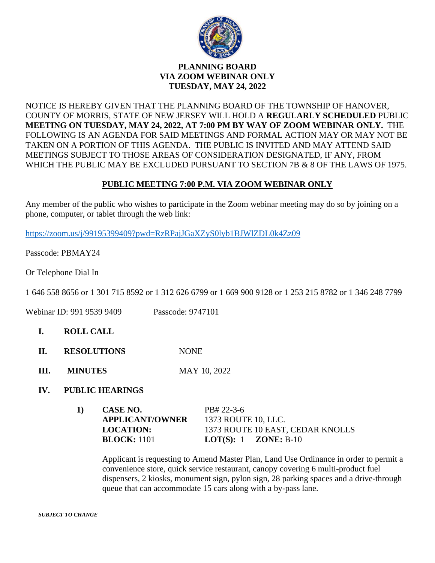

## **PLANNING BOARD VIA ZOOM WEBINAR ONLY TUESDAY, MAY 24, 2022**

NOTICE IS HEREBY GIVEN THAT THE PLANNING BOARD OF THE TOWNSHIP OF HANOVER, COUNTY OF MORRIS, STATE OF NEW JERSEY WILL HOLD A **REGULARLY SCHEDULED** PUBLIC **MEETING ON TUESDAY, MAY 24, 2022, AT 7:00 PM BY WAY OF ZOOM WEBINAR ONLY.** THE FOLLOWING IS AN AGENDA FOR SAID MEETINGS AND FORMAL ACTION MAY OR MAY NOT BE TAKEN ON A PORTION OF THIS AGENDA. THE PUBLIC IS INVITED AND MAY ATTEND SAID MEETINGS SUBJECT TO THOSE AREAS OF CONSIDERATION DESIGNATED, IF ANY, FROM WHICH THE PUBLIC MAY BE EXCLUDED PURSUANT TO SECTION 7B & 8 OF THE LAWS OF 1975.

# **PUBLIC MEETING 7:00 P.M. VIA ZOOM WEBINAR ONLY**

Any member of the public who wishes to participate in the Zoom webinar meeting may do so by joining on a phone, computer, or tablet through the web link:

<https://zoom.us/j/99195399409?pwd=RzRPajJGaXZyS0lyb1BJWlZDL0k4Zz09>

Passcode: PBMAY24

Or Telephone Dial In

1 646 558 8656 or 1 301 715 8592 or 1 312 626 6799 or 1 669 900 9128 or 1 253 215 8782 or 1 346 248 7799

Webinar ID: 991 9539 9409 Passcode: 9747101

- **I. ROLL CALL**
- **II. RESOLUTIONS** NONE
- **III. MINUTES** MAY 10, 2022

## **IV. PUBLIC HEARINGS**

| 1) | CASE NO.               | PB# 22-3-6                         |
|----|------------------------|------------------------------------|
|    | <b>APPLICANT/OWNER</b> | 1373 ROUTE 10, LLC.                |
|    | <b>LOCATION:</b>       | 1373 ROUTE 10 EAST, CEDAR KNOLLS   |
|    | <b>BLOCK:</b> 1101     | <b>LOT(S):</b> 1 <b>ZONE:</b> B-10 |

Applicant is requesting to Amend Master Plan, Land Use Ordinance in order to permit a convenience store, quick service restaurant, canopy covering 6 multi-product fuel dispensers, 2 kiosks, monument sign, pylon sign, 28 parking spaces and a drive-through queue that can accommodate 15 cars along with a by-pass lane.